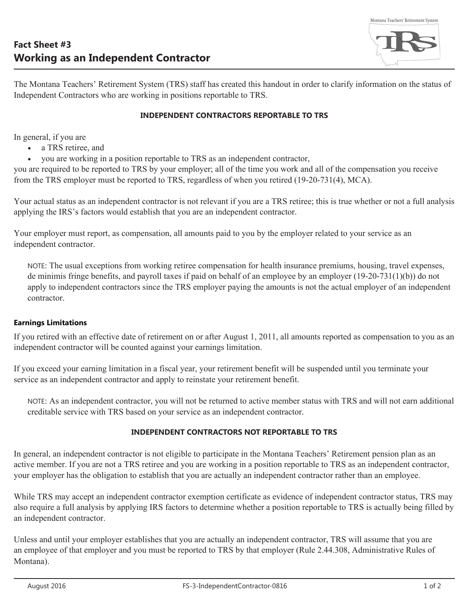Montana Teachers' Retirement System

The Montana Teachers' Retirement System (TRS) staff has created this handout in order to clarify information on the status of Independent Contractors who are working in positions reportable to TRS.

## **INDEPENDENT CONTRACTORS REPORTABLE TO TRS**

In general, if you are

- a TRS retiree, and
- you are working in a position reportable to TRS as an independent contractor,

you are required to be reported to TRS by your employer; all of the time you work and all of the compensation you receive from the TRS employer must be reported to TRS, regardless of when you retired (19-20-731(4), MCA).

Your actual status as an independent contractor is not relevant if you are a TRS retiree; this is true whether or not a full analysis applying the IRS's factors would establish that you are an independent contractor.

Your employer must report, as compensation, all amounts paid to you by the employer related to your service as an independent contractor.

NOTE: The usual exceptions from working retiree compensation for health insurance premiums, housing, travel expenses, de minimis fringe benefits, and payroll taxes if paid on behalf of an employee by an employer (19-20-731(1)(b)) do not apply to independent contractors since the TRS employer paying the amounts is not the actual employer of an independent contractor.

## **Earnings Limitations**

If you retired with an effective date of retirement on or after August 1, 2011, all amounts reported as compensation to you as an independent contractor will be counted against your earnings limitation.

If you exceed your earning limitation in a fiscal year, your retirement benefit will be suspended until you terminate your service as an independent contractor and apply to reinstate your retirement benefit.

NOTE: As an independent contractor, you will not be returned to active member status with TRS and will not earn additional creditable service with TRS based on your service as an independent contractor.

## **INDEPENDENT CONTRACTORS NOT REPORTABLE TO TRS**

In general, an independent contractor is not eligible to participate in the Montana Teachers' Retirement pension plan as an active member. If you are not a TRS retiree and you are working in a position reportable to TRS as an independent contractor, your employer has the obligation to establish that you are actually an independent contractor rather than an employee.

While TRS may accept an independent contractor exemption certificate as evidence of independent contractor status, TRS may also require a full analysis by applying IRS factors to determine whether a position reportable to TRS is actually being filled by an independent contractor.

Unless and until your employer establishes that you are actually an independent contractor, TRS will assume that you are an employee of that employer and you must be reported to TRS by that employer (Rule 2.44.308, Administrative Rules of Montana).